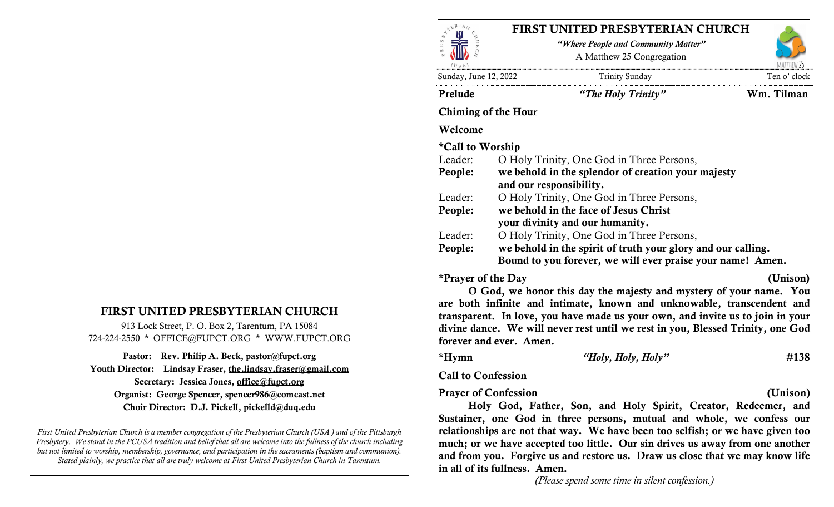

# FIRST UNITED PRESBYTERIAN CHURCH

"Where People and Community Matter" A Matthew 25 Congregation

MATTHEW "

Sunday, June 12, 2022 Trinity Sunday Ten o' clock

Prelude "The Holy Trinity" Wm. Tilman

#### Chiming of the Hour

#### Welcome

### \*Call to Worship

| Leader: | O Holy Trinity, One God in Three Persons,                    |
|---------|--------------------------------------------------------------|
| People: | we behold in the splendor of creation your majesty           |
|         | and our responsibility.                                      |
| Leader: | O Holy Trinity, One God in Three Persons,                    |
| People: | we behold in the face of Jesus Christ                        |
|         | your divinity and our humanity.                              |
| Leader: | O Holy Trinity, One God in Three Persons,                    |
| People: | we behold in the spirit of truth your glory and our calling. |
|         | Bound to you forever, we will ever praise your name! Amen.   |
|         |                                                              |

\*Prayer of the Day (Unison)

O God, we honor this day the majesty and mystery of your name. You are both infinite and intimate, known and unknowable, transcendent and transparent. In love, you have made us your own, and invite us to join in your divine dance. We will never rest until we rest in you, Blessed Trinity, one God forever and ever. Amen.

\*Hymn  $Holy, Holy$ ,  $Holy$ " #138

Call to Confession

#### Prayer of Confession (Unison)

Holy God, Father, Son, and Holy Spirit, Creator, Redeemer, and Sustainer, one God in three persons, mutual and whole, we confess our relationships are not that way. We have been too selfish; or we have given too much; or we have accepted too little. Our sin drives us away from one another and from you. Forgive us and restore us. Draw us close that we may know life in all of its fullness. Amen.

(Please spend some time in silent confession.)

# FIRST UNITED PRESBYTERIAN CHURCH

913 Lock Street, P. O. Box 2, Tarentum, PA 15084 724-224-2550 \* OFFICE@FUPCT.ORG \* WWW.FUPCT.ORG

Pastor: Rev. Philip A. Beck, pastor@fupct.org Youth Director: Lindsay Fraser, the.lindsay.fraser@gmail.com Secretary: Jessica Jones, office@fupct.org Organist: George Spencer, spencer986@comcast.net Choir Director: D.J. Pickell, pickelld@duq.edu

First United Presbyterian Church is a member congregation of the Presbyterian Church (USA ) and of the Pittsburgh Presbytery. We stand in the PCUSA tradition and belief that all are welcome into the fullness of the church including but not limited to worship, membership, governance, and participation in the sacraments (baptism and communion). Stated plainly, we practice that all are truly welcome at First United Presbyterian Church in Tarentum.